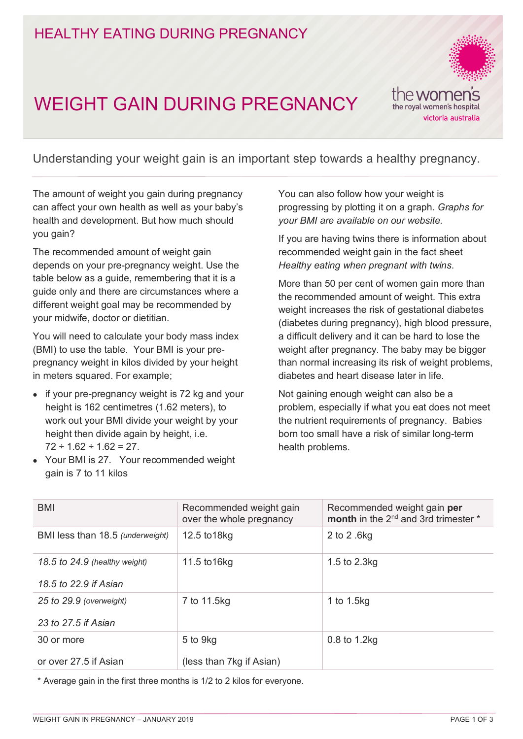# HEALTHY EATING DURING PREGNANCY

# WEIGHT GAIN DURING PREGNANCY



Understanding your weight gain is an important step towards a healthy pregnancy.

The amount of weight you gain during pregnancy can affect your own health as well as your baby's health and development. But how much should you gain?

The recommended amount of weight gain depends on your pre-pregnancy weight. Use the table below as a guide, remembering that it is a guide only and there are circumstances where a different weight goal may be recommended by your midwife, doctor or dietitian.

You will need to calculate your body mass index (BMI) to use the table. Your BMI is your prepregnancy weight in kilos divided by your height in meters squared. For example;

- if your pre-pregnancy weight is 72 kg and your height is 162 centimetres (1.62 meters), to work out your BMI divide your weight by your height then divide again by height, i.e.  $72 \div 1.62 \div 1.62 = 27$ .
- Your BMI is 27. Your recommended weight gain is 7 to 11 kilos

You can also follow how your weight is progressing by plotting it on a graph. *Graphs for your BMI are available on our website.*

If you are having twins there is information about recommended weight gain in the fact sheet *Healthy eating when pregnant with twins*.

More than 50 per cent of women gain more than the recommended amount of weight. This extra weight increases the risk of gestational diabetes (diabetes during pregnancy), high blood pressure, a difficult delivery and it can be hard to lose the weight after pregnancy. The baby may be bigger than normal increasing its risk of weight problems, diabetes and heart disease later in life.

Not gaining enough weight can also be a problem, especially if what you eat does not meet the nutrient requirements of pregnancy. Babies born too small have a risk of similar long-term health problems.

| Recommended weight gain<br>over the whole pregnancy | Recommended weight gain per<br>month in the 2 <sup>nd</sup> and 3rd trimester * |
|-----------------------------------------------------|---------------------------------------------------------------------------------|
| 12.5 to 18kg                                        | 2 to 2 .6kg                                                                     |
| 11.5 to 16kg                                        | 1.5 to 2.3kg                                                                    |
|                                                     |                                                                                 |
| 7 to 11.5kg                                         | 1 to 1.5kg                                                                      |
|                                                     |                                                                                 |
| 5 to 9kg                                            | $0.8$ to 1.2 $kg$                                                               |
| (less than 7kg if Asian)                            |                                                                                 |
|                                                     |                                                                                 |

\* Average gain in the first three months is 1/2 to 2 kilos for everyone.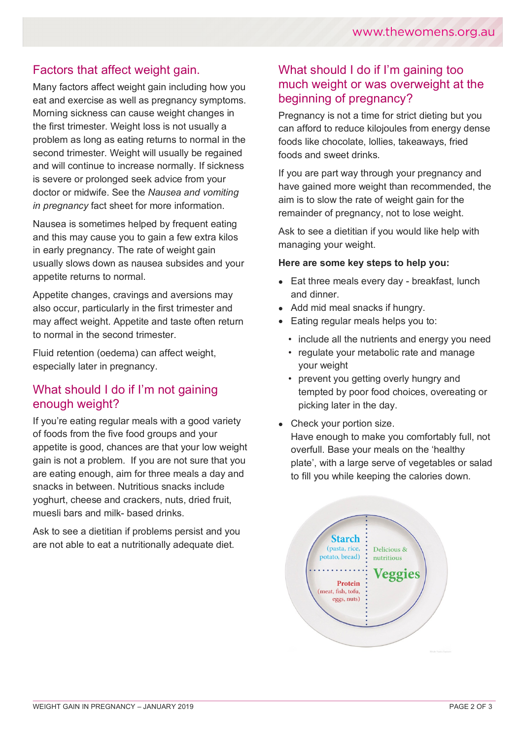### Factors that affect weight gain.

Many factors affect weight gain including how you eat and exercise as well as pregnancy symptoms. Morning sickness can cause weight changes in the first trimester. Weight loss is not usually a problem as long as eating returns to normal in the second trimester. Weight will usually be regained and will continue to increase normally. If sickness is severe or prolonged seek advice from your doctor or midwife. See the *Nausea and vomiting in pregnancy* fact sheet for more information.

Nausea is sometimes helped by frequent eating and this may cause you to gain a few extra kilos in early pregnancy. The rate of weight gain usually slows down as nausea subsides and your appetite returns to normal.

Appetite changes, cravings and aversions may also occur, particularly in the first trimester and may affect weight. Appetite and taste often return to normal in the second trimester.

Fluid retention (oedema) can affect weight, especially later in pregnancy.

#### What should I do if I'm not gaining enough weight?

If you're eating regular meals with a good variety of foods from the five food groups and your appetite is good, chances are that your low weight gain is not a problem. If you are not sure that you are eating enough, aim for three meals a day and snacks in between. Nutritious snacks include yoghurt, cheese and crackers, nuts, dried fruit, muesli bars and milk- based drinks.

Ask to see a dietitian if problems persist and you are not able to eat a nutritionally adequate diet.

#### What should I do if I'm gaining too much weight or was overweight at the beginning of pregnancy?

Pregnancy is not a time for strict dieting but you can afford to reduce kilojoules from energy dense foods like chocolate, lollies, takeaways, fried foods and sweet drinks.

If you are part way through your pregnancy and have gained more weight than recommended, the aim is to slow the rate of weight gain for the remainder of pregnancy, not to lose weight.

Ask to see a dietitian if you would like help with managing your weight.

#### **Here are some key steps to help you:**

- Eat three meals every day breakfast, lunch and dinner.
- Add mid meal snacks if hungry.
- Eating regular meals helps you to:
	- include all the nutrients and energy you need
	- regulate your metabolic rate and manage your weight
	- prevent you getting overly hungry and tempted by poor food choices, overeating or picking later in the day.
- Check your portion size. Have enough to make you comfortably full, not overfull. Base your meals on the 'healthy plate', with a large serve of vegetables or salad to fill you while keeping the calories down.